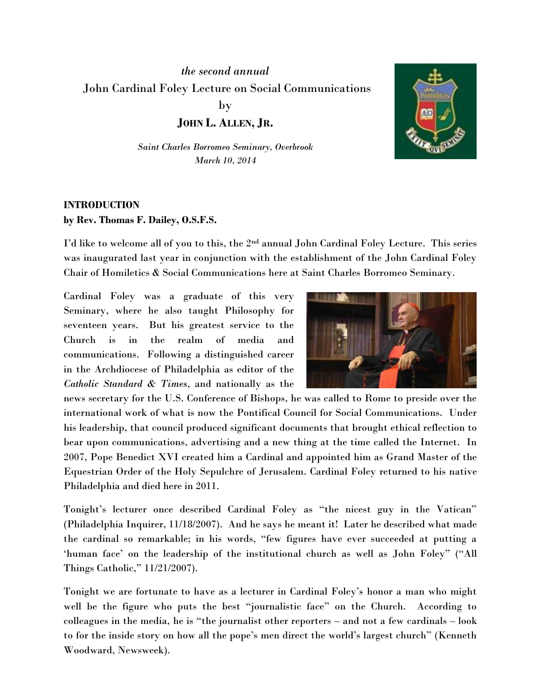*the second annual* John Cardinal Foley Lecture on Social Communications by

**JOHN L. ALLEN, JR.**

*Saint Charles Borromeo Seminary, Overbrook March 10, 2014*



## **INTRODUCTION by Rev. Thomas F. Dailey, O.S.F.S.**

I'd like to welcome all of you to this, the 2nd annual John Cardinal Foley Lecture. This series was inaugurated last year in conjunction with the establishment of the John Cardinal Foley Chair of Homiletics & Social Communications here at Saint Charles Borromeo Seminary.

Cardinal Foley was a graduate of this very Seminary, where he also taught Philosophy for seventeen years. But his greatest service to the Church is in the realm of media and communications. Following a distinguished career in the Archdiocese of Philadelphia as editor of the *Catholic Standard & Times*, and nationally as the



news secretary for the U.S. Conference of Bishops, he was called to Rome to preside over the international work of what is now the Pontifical Council for Social Communications. Under his leadership, that council produced significant documents that brought ethical reflection to bear upon communications, advertising and a new thing at the time called the Internet. In 2007, Pope Benedict XVI created him a Cardinal and appointed him as Grand Master of the Equestrian Order of the Holy Sepulchre of Jerusalem. Cardinal Foley returned to his native Philadelphia and died here in 2011.

Tonight's lecturer once described Cardinal Foley as "the nicest guy in the Vatican" (Philadelphia Inquirer, 11/18/2007). And he says he meant it! Later he described what made the cardinal so remarkable; in his words, "few figures have ever succeeded at putting a 'human face' on the leadership of the institutional church as well as John Foley" ("All Things Catholic," 11/21/2007).

Tonight we are fortunate to have as a lecturer in Cardinal Foley's honor a man who might well be the figure who puts the best "journalistic face" on the Church. According to colleagues in the media, he is "the journalist other reporters – and not a few cardinals – look to for the inside story on how all the pope's men direct the world's largest church" (Kenneth Woodward, Newsweek).